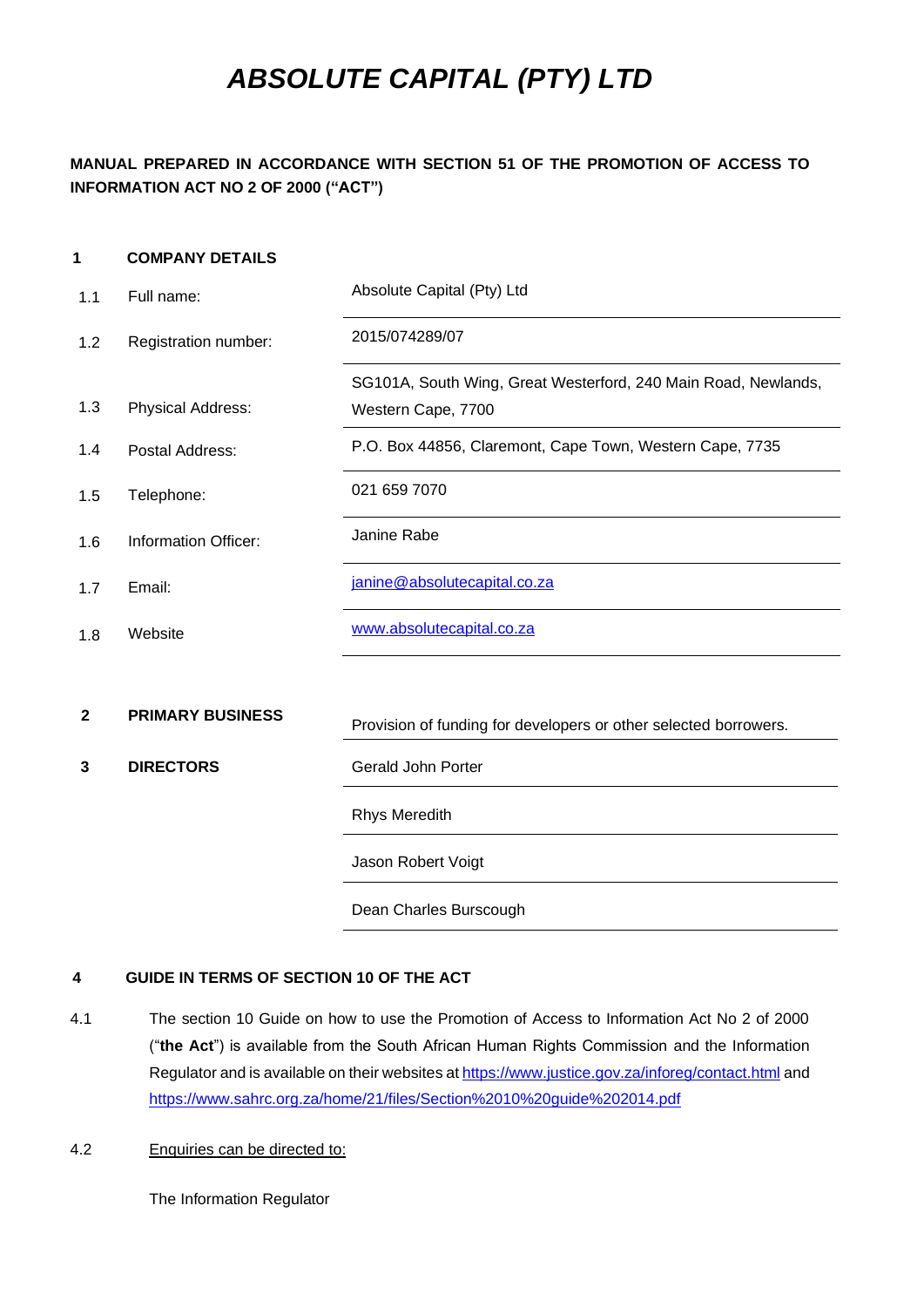# *ABSOLUTE CAPITAL (PTY) LTD*

# **MANUAL PREPARED IN ACCORDANCE WITH SECTION 51 OF THE PROMOTION OF ACCESS TO INFORMATION ACT NO 2 OF 2000 ("ACT")**

#### <span id="page-0-0"></span>**1 COMPANY DETAILS**

| 1.1          | Full name:              | Absolute Capital (Pty) Ltd                                       |  |  |
|--------------|-------------------------|------------------------------------------------------------------|--|--|
| 1.2          | Registration number:    | 2015/074289/07                                                   |  |  |
|              |                         | SG101A, South Wing, Great Westerford, 240 Main Road, Newlands,   |  |  |
| 1.3          | Physical Address:       | Western Cape, 7700                                               |  |  |
| 1.4          | Postal Address:         | P.O. Box 44856, Claremont, Cape Town, Western Cape, 7735         |  |  |
| 1.5          | Telephone:              | 021 659 7070                                                     |  |  |
| 1.6          | Information Officer:    | Janine Rabe                                                      |  |  |
| 1.7          | Email:                  | janine@absolutecapital.co.za                                     |  |  |
| 1.8          | Website                 | www.absolutecapital.co.za                                        |  |  |
|              |                         |                                                                  |  |  |
| $\mathbf{2}$ | <b>PRIMARY BUSINESS</b> | Provision of funding for developers or other selected borrowers. |  |  |
| 3            | <b>DIRECTORS</b>        | Gerald John Porter                                               |  |  |
|              |                         | <b>Rhys Meredith</b>                                             |  |  |
|              |                         | Jason Robert Voigt                                               |  |  |
|              |                         | Dean Charles Burscough                                           |  |  |

## **4 GUIDE IN TERMS OF SECTION 10 OF THE ACT**

4.1 The section 10 Guide on how to use the Promotion of Access to Information Act No 2 of 2000 ("**the Act**") is available from the South African Human Rights Commission and the Information Regulator and is available on their websites at https://www.justice.gov.za/inforeg/contact.html and <https://www.sahrc.org.za/home/21/files/Section%2010%20guide%202014.pdf>

## 4.2 Enquiries can be directed to:

The Information Regulator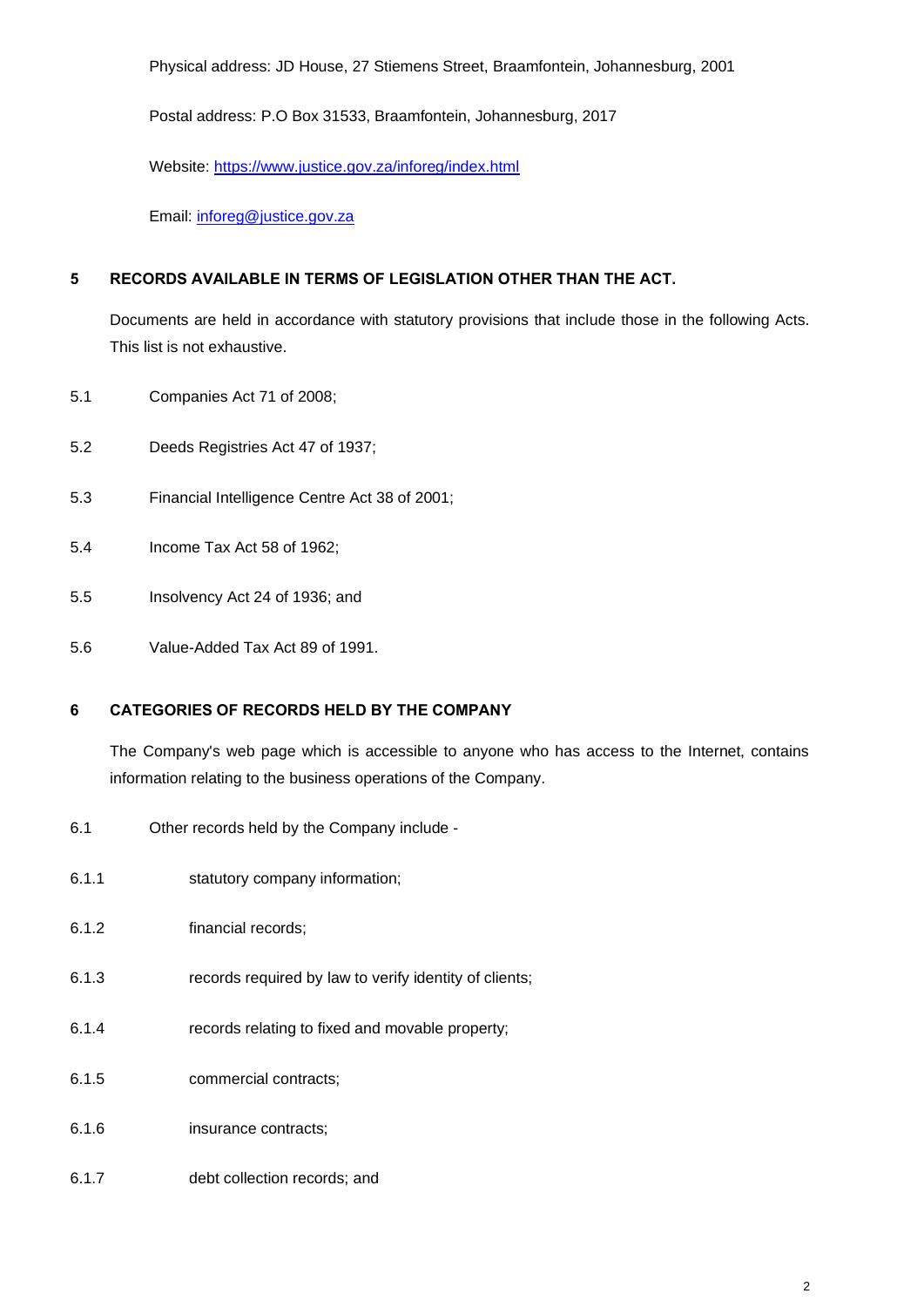Physical address: JD House, 27 Stiemens Street, Braamfontein, Johannesburg, 2001

Postal address: P.O Box 31533, Braamfontein, Johannesburg, 2017

Website:<https://www.justice.gov.za/inforeg/index.html>

Email: [inforeg@justice.gov.za](mailto:inforeg@justice.gov.za)

#### **5 RECORDS AVAILABLE IN TERMS OF LEGISLATION OTHER THAN THE ACT.**

Documents are held in accordance with statutory provisions that include those in the following Acts. This list is not exhaustive.

- 5.1 Companies Act 71 of 2008;
- 5.2 Deeds Registries Act 47 of 1937;
- 5.3 Financial Intelligence Centre Act 38 of 2001;
- 5.4 Income Tax Act 58 of 1962;
- 5.5 Insolvency Act 24 of 1936; and
- 5.6 Value-Added Tax Act 89 of 1991.

#### **6 CATEGORIES OF RECORDS HELD BY THE COMPANY**

The Company's web page which is accessible to anyone who has access to the Internet, contains information relating to the business operations of the Company.

- 6.1 Other records held by the Company include -
- 6.1.1 statutory company information;
- 6.1.2 financial records;
- 6.1.3 records required by law to verify identity of clients;
- 6.1.4 records relating to fixed and movable property;
- 6.1.5 commercial contracts;
- 6.1.6 insurance contracts;
- 6.1.7 debt collection records; and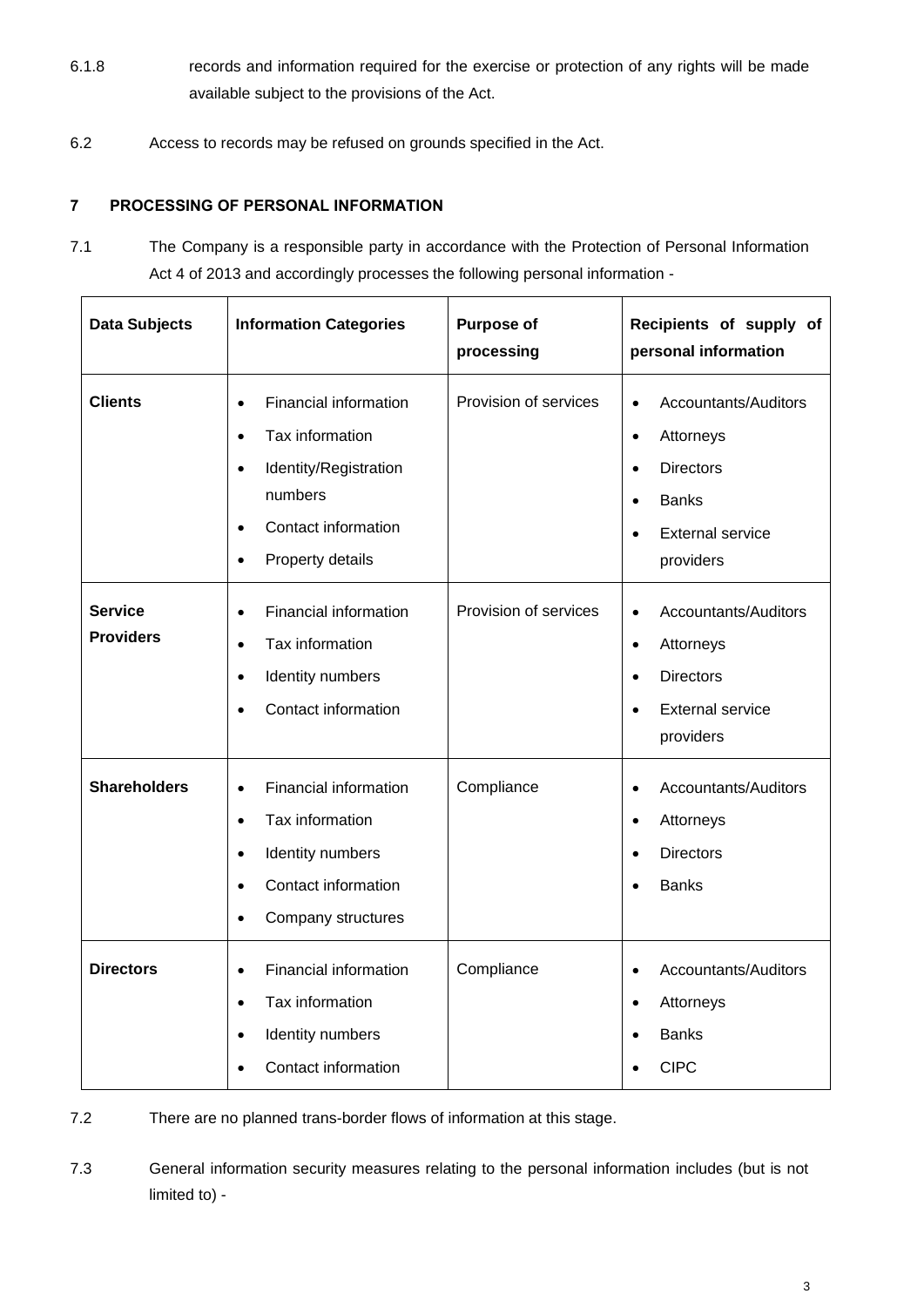- 6.1.8 records and information required for the exercise or protection of any rights will be made available subject to the provisions of the Act.
- 6.2 Access to records may be refused on grounds specified in the Act.

# **7 PROCESSING OF PERSONAL INFORMATION**

7.1 The Company is a responsible party in accordance with the Protection of Personal Information Act 4 of 2013 and accordingly processes the following personal information -

| <b>Data Subjects</b>               | <b>Information Categories</b>                                                                                                                                                            | <b>Purpose of</b><br>processing | Recipients of supply of<br>personal information                                                                                                                   |
|------------------------------------|------------------------------------------------------------------------------------------------------------------------------------------------------------------------------------------|---------------------------------|-------------------------------------------------------------------------------------------------------------------------------------------------------------------|
| <b>Clients</b>                     | Financial information<br>$\bullet$<br>Tax information<br>$\bullet$<br>Identity/Registration<br>$\bullet$<br>numbers<br>Contact information<br>$\bullet$<br>Property details<br>$\bullet$ | Provision of services           | Accountants/Auditors<br>$\bullet$<br>Attorneys<br>$\bullet$<br><b>Directors</b><br>$\bullet$<br><b>Banks</b><br>$\bullet$<br><b>External service</b><br>providers |
| <b>Service</b><br><b>Providers</b> | Financial information<br>$\bullet$<br>Tax information<br>$\bullet$<br>Identity numbers<br>$\bullet$<br>Contact information                                                               | Provision of services           | Accountants/Auditors<br>$\bullet$<br>Attorneys<br>$\bullet$<br><b>Directors</b><br>$\bullet$<br><b>External service</b><br>providers                              |
| <b>Shareholders</b>                | Financial information<br>$\bullet$<br>Tax information<br>$\bullet$<br>Identity numbers<br>$\bullet$<br>Contact information<br>$\bullet$<br>Company structures<br>$\bullet$               | Compliance                      | Accountants/Auditors<br>$\bullet$<br>Attorneys<br>$\bullet$<br><b>Directors</b><br>$\bullet$<br><b>Banks</b>                                                      |
| <b>Directors</b>                   | <b>Financial information</b><br>$\bullet$<br>Tax information<br>$\bullet$<br>Identity numbers<br>$\bullet$<br>Contact information                                                        | Compliance                      | Accountants/Auditors<br>$\bullet$<br>Attorneys<br>$\bullet$<br><b>Banks</b><br><b>CIPC</b>                                                                        |

7.2 There are no planned trans-border flows of information at this stage.

7.3 General information security measures relating to the personal information includes (but is not limited to) -